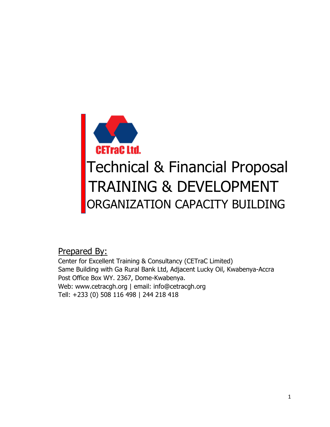

Prepared By:

Center for Excellent Training & Consultancy (CETraC Limited) Same Building with Ga Rural Bank Ltd, Adjacent Lucky Oil, Kwabenya-Accra Post Office Box WY. 2367, Dome-Kwabenya. Web: www.cetracgh.org | email: [info@cetracgh.org](mailto:info@cetracgh.org) Tell: +233 (0) 508 116 498 | 244 218 418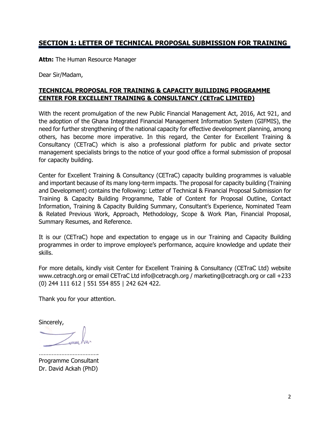## **SECTION 1: LETTER OF TECHNICAL PROPOSAL SUBMISSION FOR TRAINING**

**Attn:** The Human Resource Manager

Dear Sir/Madam,

#### **TECHNICAL PROPOSAL FOR TRAINING & CAPACITY BUILIDING PROGRAMME CENTER FOR EXCELLENT TRAINING & CONSULTANCY (CETraC LIMITED)**

With the recent promulgation of the new Public Financial Management Act, 2016, Act 921, and the adoption of the Ghana Integrated Financial Management Information System (GIFMIS), the need for further strengthening of the national capacity for effective development planning, among others, has become more imperative. In this regard, the Center for Excellent Training & Consultancy (CETraC) which is also a professional platform for public and private sector management specialists brings to the notice of your good office a formal submission of proposal for capacity building.

Center for Excellent Training & Consultancy (CETraC) capacity building programmes is valuable and important because of its many long-term impacts. The proposal for capacity building (Training and Development) contains the following: Letter of Technical & Financial Proposal Submission for Training & Capacity Building Programme, Table of Content for Proposal Outline, Contact Information, Training & Capacity Building Summary, Consultant's Experience, Nominated Team & Related Previous Work, Approach, Methodology, Scope & Work Plan, Financial Proposal, Summary Resumes, and Reference.

It is our (CETraC) hope and expectation to engage us in our Training and Capacity Building programmes in order to improve employee's performance, acquire knowledge and update their skills.

For more details, kindly visit Center for Excellent Training & Consultancy (CETraC Ltd) website [www.cetracgh.org](http://www.cetracgh.org/) or email CETraC Ltd [info@cetracgh.org](mailto:info@cetracgh.org) / [marketing@cetracgh.org](mailto:marketing@cetracgh.org) or call +233 (0) 244 111 612 | 551 554 855 | 242 624 422.

Thank you for your attention.

Sincerely,

………………………………. Programme Consultant Dr. David Ackah (PhD)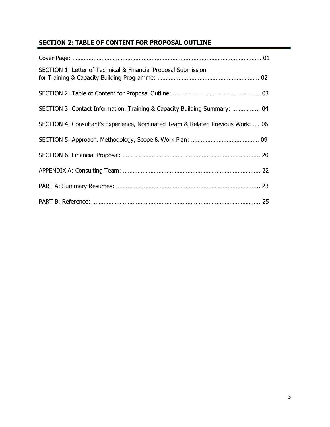# **SECTION 2: TABLE OF CONTENT FOR PROPOSAL OUTLINE**

| SECTION 1: Letter of Technical & Financial Proposal Submission                  |  |
|---------------------------------------------------------------------------------|--|
|                                                                                 |  |
| SECTION 3: Contact Information, Training & Capacity Building Summary:  04       |  |
| SECTION 4: Consultant's Experience, Nominated Team & Related Previous Work:  06 |  |
|                                                                                 |  |
|                                                                                 |  |
|                                                                                 |  |
|                                                                                 |  |
|                                                                                 |  |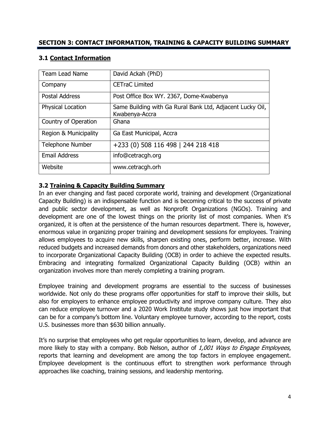| Team Lead Name           | David Ackah (PhD)                                                           |
|--------------------------|-----------------------------------------------------------------------------|
| Company                  | <b>CETraC Limited</b>                                                       |
| <b>Postal Address</b>    | Post Office Box WY. 2367, Dome-Kwabenya                                     |
| <b>Physical Location</b> | Same Building with Ga Rural Bank Ltd, Adjacent Lucky Oil,<br>Kwabenya-Accra |
| Country of Operation     | Ghana                                                                       |
| Region & Municipality    | Ga East Municipal, Accra                                                    |
| <b>Telephone Number</b>  | +233 (0) 508 116 498   244 218 418                                          |
| <b>Email Address</b>     | info@cetracgh.org                                                           |
| Website                  | www.cetracgh.orh                                                            |

### **3.1 Contact Information**

### **3.2 Training & Capacity Building Summary**

In an ever changing and fast paced corporate world, training and development (Organizational Capacity Building) is an indispensable function and is becoming critical to the success of private and public sector development, as well as Nonprofit Organizations (NGOs). Training and development are one of the lowest things on the priority list of most companies. When it's organized, it is often at the persistence of the human resources department. There is, however, enormous value in organizing proper training and development sessions for employees. Training allows employees to acquire new skills, sharpen existing ones, perform better, increase. With reduced budgets and increased demands from donors and other stakeholders, organizations need to incorporate Organizational Capacity Building (OCB) in order to achieve the expected results. Embracing and integrating formalized Organizational Capacity Building (OCB) within an organization involves more than merely completing a training program.

Employee training and development programs are essential to the success of businesses worldwide. Not only do these programs offer opportunities for staff to improve their skills, but also for employers to enhance employee productivity and improve company culture. They also can reduce employee turnover and a 2020 Work Institute study shows just how important that can be for a company's bottom line. Voluntary employee turnover, according to the report, costs U.S. businesses more than \$630 billion annually.

It's no surprise that employees who get regular opportunities to learn, develop, and advance are more likely to stay with a company. Bob Nelson, author of 1,001 Ways to Engage Employees, reports that learning and development are among the top factors in employee engagement. Employee development is the continuous effort to strengthen work performance through approaches like coaching, training sessions, and leadership mentoring.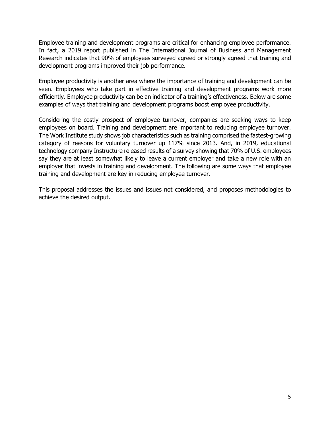Employee training and development programs are critical for enhancing employee performance. In fact, a 2019 report published in The International Journal of Business and Management Research indicates that 90% of employees surveyed agreed or strongly agreed that training and development programs improved their job performance.

Employee productivity is another area where the importance of training and development can be seen. Employees who take part in effective training and development programs work more efficiently. Employee productivity can be an indicator of a training's effectiveness. Below are some examples of ways that training and development programs boost employee productivity.

Considering the costly prospect of employee turnover, companies are seeking ways to keep employees on board. Training and development are important to reducing employee turnover. The Work Institute study shows job characteristics such as training comprised the fastest-growing category of reasons for voluntary turnover up 117% since 2013. And, in 2019, educational technology company Instructure released results of a survey showing that 70% of U.S. employees say they are at least somewhat likely to leave a current employer and take a new role with an employer that invests in training and development. The following are some ways that employee training and development are key in reducing employee turnover.

This proposal addresses the issues and issues not considered, and proposes methodologies to achieve the desired output.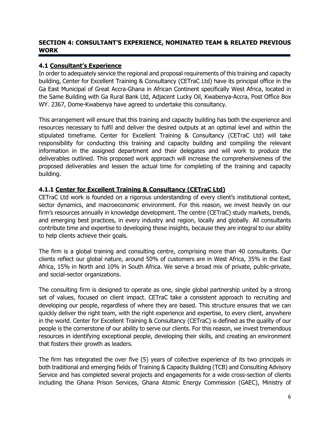### **SECTION 4: CONSULTANT'S EXPERIENCE, NOMINATED TEAM & RELATED PREVIOUS WORK**

#### **4.1 Consultant's Experience**

In order to adequately service the regional and proposal requirements of this training and capacity building, Center for Excellent Training & Consultancy (CETraC Ltd) have its principal office in the Ga East Municipal of Great Accra-Ghana in African Continent specifically West Africa, located in the Same Building with Ga Rural Bank Ltd, Adjacent Lucky Oil, Kwabenya-Accra, Post Office Box WY. 2367, Dome-Kwabenya have agreed to undertake this consultancy.

This arrangement will ensure that this training and capacity building has both the experience and resources necessary to fulfil and deliver the desired outputs at an optimal level and within the stipulated timeframe. Center for Excellent Training & Consultancy (CETraC Ltd) will take responsibility for conducting this training and capacity building and compiling the relevant information in the assigned department and their delegates and will work to produce the deliverables outlined. This proposed work approach will increase the comprehensiveness of the proposed deliverables and lessen the actual time for completing of the training and capacity building.

#### **4.1.1 Center for Excellent Training & Consultancy (CETraC Ltd)**

CETraC Ltd work is founded on a rigorous understanding of every client's institutional context, sector dynamics, and macroeconomic environment. For this reason, we invest heavily on our firm's resources annually in knowledge development. The centre (CETraC) study markets, trends, and emerging best practices, in every industry and region, locally and globally. All consultants contribute time and expertise to developing these insights, because they are integral to our ability to help clients achieve their goals.

The firm is a global training and consulting centre, comprising more than 40 consultants. Our clients reflect our global nature, around 50% of customers are in West Africa, 35% in the East Africa, 15% in North and 10% in South Africa. We serve a broad mix of private, public-private, and social-sector organizations.

The consulting firm is designed to operate as one, single global partnership united by a strong set of values, focused on client impact. CETraC take a consistent approach to recruiting and developing our people, regardless of where they are based. This structure ensures that we can quickly deliver the right team, with the right experience and expertise, to every client, anywhere in the world. Center for Excellent Training & Consultancy (CETraC) is defined as the quality of our people is the cornerstone of our ability to serve our clients. For this reason, we invest tremendous resources in identifying exceptional people, developing their skills, and creating an environment that fosters their growth as leaders.

The firm has integrated the over five (5) years of collective experience of its two principals in both traditional and emerging fields of Training & Capacity Building (TCB) and Consulting Advisory Service and has completed several projects and engagements for a wide cross-section of clients including the Ghana Prison Services, Ghana Atomic Energy Commission (GAEC), Ministry of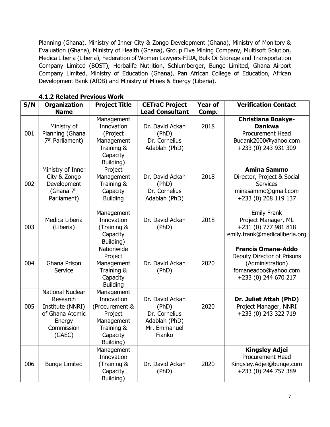Planning (Ghana), Ministry of Inner City & Zongo Development (Ghana), Ministry of Monitory & Evaluation (Ghana), Ministry of Health (Ghana), Group Five Mining Company, Multisoft Solution, Medica Liberia (Liberia), Federation of Women Lawyers-FIDA, Bulk Oil Storage and Transportation Company Limited (BOST), Herbalife Nutrition, Schlumberger, Bunge Limited, Ghana Airport Company Limited, Ministry of Education (Ghana), Pan African College of Education, African Development Bank (AfDB) and Ministry of Mines & Energy (Liberia).

| S/N | <b>Organization</b><br><b>Name</b>                                                                           | <b>Project Title</b>                                                                                       | <b>CETraC Project</b><br><b>Lead Consultant</b>                                      | <b>Year of</b><br>Comp. | <b>Verification Contact</b>                                                                                                 |
|-----|--------------------------------------------------------------------------------------------------------------|------------------------------------------------------------------------------------------------------------|--------------------------------------------------------------------------------------|-------------------------|-----------------------------------------------------------------------------------------------------------------------------|
| 001 | Ministry of<br>Planning (Ghana<br>7 <sup>th</sup> Parliament)                                                | Management<br>Innovation<br>(Project<br>Management<br>Training &<br>Capacity<br>Building)                  | Dr. David Ackah<br>(PhD)<br>Dr. Cornelius<br>Adablah (PhD)                           | 2018                    | <b>Christiana Boakye-</b><br><b>Dankwa</b><br><b>Procurement Head</b><br>Budank2000@yahoo.com<br>+233 (0) 243 931 309       |
| 002 | Ministry of Inner<br>City & Zongo<br>Development<br>(Ghana 7 <sup>th</sup><br>Parliament)                    | Project<br>Management<br>Training &<br>Capacity<br><b>Building</b>                                         | Dr. David Ackah<br>(PhD)<br>Dr. Cornelius<br>Adablah (PhD)                           | 2018                    | <b>Amina Sammo</b><br>Director, Project & Social<br><b>Services</b><br>minasammo@gmail.com<br>+233 (0) 208 119 137          |
| 003 | Medica Liberia<br>(Liberia)                                                                                  | Management<br>Innovation<br>(Training &<br>Capacity<br>Building)                                           | Dr. David Ackah<br>(PhD)                                                             | 2018                    | <b>Emily Frank</b><br>Project Manager, ML<br>+231 (0) 777 981 818<br>emily.frank@medicaliberia.org                          |
| 004 | Ghana Prison<br>Service                                                                                      | Nationwide<br>Project<br>Management<br>Training &<br>Capacity<br><b>Building</b>                           | Dr. David Ackah<br>(PhD)                                                             | 2020                    | <b>Francis Omane-Addo</b><br>Deputy Director of Prisons<br>(Administration)<br>fomaneadoo@yahoo.com<br>+233 (0) 244 670 217 |
| 005 | <b>National Nuclear</b><br>Research<br>Institute (NNRI)<br>of Ghana Atomic<br>Energy<br>Commission<br>(GAEC) | Management<br>Innovation<br>(Procurement &<br>Project<br>Management<br>Training &<br>Capacity<br>Building) | Dr. David Ackah<br>(PhD)<br>Dr. Cornelius<br>Adablah (PhD)<br>Mr. Emmanuel<br>Fianko | 2020                    | Dr. Juliet Attah (PhD)<br>Project Manager, NNRI<br>+233 (0) 243 322 719                                                     |
| 006 | <b>Bunge Limited</b>                                                                                         | Management<br>Innovation<br>(Training &<br>Capacity<br>Building)                                           | Dr. David Ackah<br>(PhD)                                                             | 2020                    | <b>Kingsley Adjei</b><br><b>Procurement Head</b><br>Kingsley.Adjei@bunge.com<br>+233 (0) 244 757 389                        |

#### **4.1.2 Related Previous Work**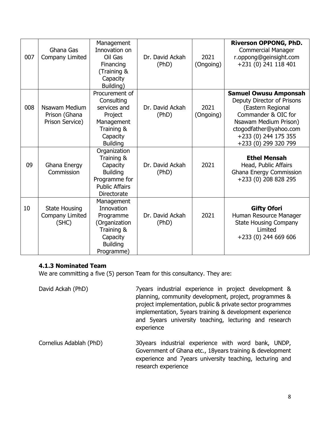| 007 | Ghana Gas<br>Company Limited                      | Management<br>Innovation on<br>Oil Gas<br>Financing<br>(Training &<br>Capacity<br>Building)                        | Dr. David Ackah<br>(PhD) | 2021<br>(Ongoing) | <b>Riverson OPPONG, PhD.</b><br><b>Commercial Manager</b><br>r.oppong@geinsight.com<br>+231 (0) 241 118 401                                                                                               |
|-----|---------------------------------------------------|--------------------------------------------------------------------------------------------------------------------|--------------------------|-------------------|-----------------------------------------------------------------------------------------------------------------------------------------------------------------------------------------------------------|
| 008 | Nsawam Medium<br>Prison (Ghana<br>Prison Service) | Procurement of<br>Consulting<br>services and<br>Project<br>Management<br>Training &<br>Capacity<br><b>Building</b> | Dr. David Ackah<br>(PhD) | 2021<br>(Ongoing) | <b>Samuel Owusu Amponsah</b><br>Deputy Director of Prisons<br>(Eastern Regional<br>Commander & OIC for<br>Nsawam Medium Prison)<br>ctogodfather@yahoo.com<br>+233 (0) 244 175 355<br>+233 (0) 299 320 799 |
| 09  | Ghana Energy<br>Commission                        | Organization<br>Training &<br>Capacity<br><b>Building</b><br>Programme for<br><b>Public Affairs</b><br>Directorate | Dr. David Ackah<br>(PhD) | 2021              | <b>Ethel Mensah</b><br>Head, Public Affairs<br>Ghana Energy Commission<br>+233 (0) 208 828 295                                                                                                            |
| 10  | <b>State Housing</b><br>Company Limited<br>(SHC)  | Management<br>Innovation<br>Programme<br>(Organization<br>Training &<br>Capacity<br><b>Building</b><br>Programme)  | Dr. David Ackah<br>(PhD) | 2021              | <b>Gifty Ofori</b><br>Human Resource Manager<br><b>State Housing Company</b><br>Limited<br>+233 (0) 244 669 606                                                                                           |

#### **4.1.3 Nominated Team**

We are committing a five (5) person Team for this consultancy. They are:

David Ackah (PhD) 7years industrial experience in project development & planning, community development, project, programmes & project implementation, public & private sector programmes implementation, 5years training & development experience and 5years university teaching, lecturing and research experience

Cornelius Adablah (PhD) 30years industrial experience with word bank, UNDP, Government of Ghana etc., 18years training & development experience and 7years university teaching, lecturing and research experience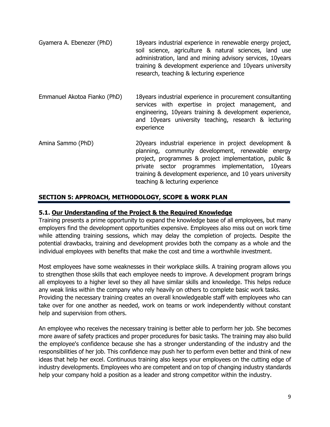- Gyamera A. Ebenezer (PhD) 18years industrial experience in renewable energy project, soil science, agriculture & natural sciences, land use administration, land and mining advisory services, 10years training & development experience and 10years university research, teaching & lecturing experience
- Emmanuel Akotoa Fianko (PhD) 18years industrial experience in procurement consultanting services with expertise in project management, and engineering, 10years training & development experience, and 10years university teaching, research & lecturing experience
- Amina Sammo (PhD) 20years industrial experience in project development & planning, community development, renewable energy project, programmes & project implementation, public & private sector programmes implementation, 10years training & development experience, and 10 years university teaching & lecturing experience

## **SECTION 5: APPROACH, METHODOLOGY, SCOPE & WORK PLAN**

### **5.1. Our Understanding of the Project & the Required Knowledge**

Training presents a prime opportunity to expand the knowledge base of all employees, but many employers find the development opportunities expensive. Employees also miss out on work time while attending training sessions, which may delay the completion of projects. Despite the potential drawbacks, training and development provides both the company as a whole and the individual employees with benefits that make the cost and time a worthwhile investment.

Most employees have some weaknesses in their workplace skills. A training program allows you to strengthen those skills that each employee needs to improve. A development program brings all employees to a higher level so they all have similar skills and knowledge. This helps reduce any weak links within the company who rely heavily on others to complete basic work tasks. Providing the necessary training creates an overall knowledgeable staff with employees who can take over for one another as needed, work on teams or work independently without constant help and supervision from others.

An employee who receives the necessary training is better able to perform her job. She becomes more aware of safety practices and proper procedures for basic tasks. The training may also build the employee's confidence because she has a stronger understanding of the industry and the responsibilities of her job. This confidence may push her to perform even better and think of new ideas that help her excel. Continuous training also keeps your employees on the cutting edge of industry developments. Employees who are competent and on top of changing industry standards help your company hold a position as a leader and strong competitor within the industry.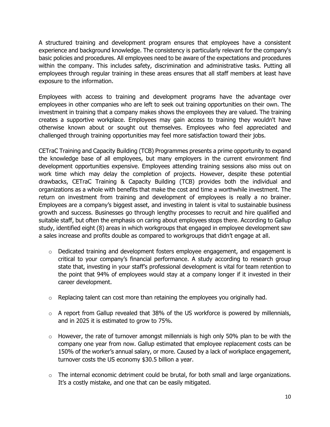A structured training and development program ensures that employees have a consistent experience and background knowledge. The consistency is particularly relevant for the company's basic policies and procedures. All employees need to be aware of the expectations and procedures within the company. This includes safety, discrimination and administrative tasks. Putting all employees through regular training in these areas ensures that all staff members at least have exposure to the information.

Employees with access to training and development programs have the advantage over employees in other companies who are left to seek out training opportunities on their own. The investment in training that a company makes shows the employees they are valued. The training creates a supportive workplace. Employees may gain access to training they wouldn't have otherwise known about or sought out themselves. Employees who feel appreciated and challenged through training opportunities may feel more satisfaction toward their jobs.

CETraC Training and Capacity Building (TCB) Programmes presents a prime opportunity to expand the knowledge base of all employees, but many employers in the current environment find development opportunities expensive. Employees attending training sessions also miss out on work time which may delay the completion of projects. However, despite these potential drawbacks, CETraC Training & Capacity Building (TCB) provides both the individual and organizations as a whole with benefits that make the cost and time a worthwhile investment. The return on investment from training and development of employees is really a no brainer. Employees are a company's biggest asset, and investing in talent is vital to sustainable business growth and success. Businesses go through lengthy processes to recruit and hire qualified and suitable staff, but often the emphasis on caring about employees stops there. According to Gallup study, identified eight (8) areas in which workgroups that engaged in employee development saw a sales increase and profits double as compared to workgroups that didn't engage at all.

- $\circ$  Dedicated training and development fosters employee engagement, and engagement is critical to your company's financial performance. A study according to research group state that, investing in your staff's professional development is vital for team retention to the point that 94% of employees would stay at a company longer if it invested in their career development.
- $\circ$  Replacing talent can cost more than retaining the employees you originally had.
- $\circ$  A report from Gallup revealed that 38% of the US workforce is powered by millennials, and in 2025 it is estimated to grow to 75%.
- $\circ$  However, the rate of turnover amongst millennials is high only 50% plan to be with the company one year from now. Gallup estimated that employee replacement costs can be 150% of the worker's annual salary, or more. Caused by a lack of workplace engagement, turnover costs the US economy \$30.5 billion a year.
- $\circ$  The internal economic detriment could be brutal, for both small and large organizations. It's a costly mistake, and one that can be easily mitigated.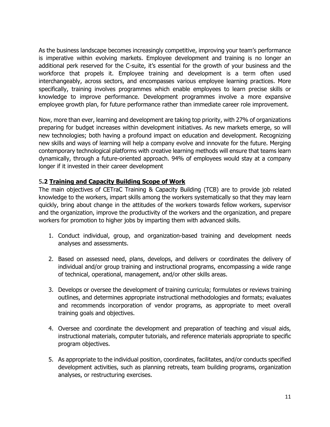As the business landscape becomes increasingly competitive, improving your team's performance is imperative within evolving markets. Employee development and training is no longer an additional perk reserved for the C-suite, it's essential for the growth of your business and the workforce that propels it. Employee training and development is a term often used interchangeably, across sectors, and encompasses various employee learning practices. More specifically, training involves programmes which enable employees to learn precise skills or knowledge to improve performance. Development programmes involve a more expansive employee growth plan, for future performance rather than immediate career role improvement.

Now, more than ever, learning and development are taking top priority, with 27% of organizations preparing for budget increases within development initiatives. As new markets emerge, so will new technologies; both having a profound impact on education and development. Recognizing new skills and ways of learning will help a company evolve and innovate for the future. Merging contemporary technological platforms with creative learning methods will ensure that teams learn dynamically, through a future-oriented approach. 94% of employees would stay at a company longer if it invested in their career development

#### 5**.2 Training and Capacity Building Scope of Work**

The main objectives of CETraC Training & Capacity Building (TCB) are to provide job related knowledge to the workers, impart skills among the workers systematically so that they may learn quickly, bring about change in the attitudes of the workers towards fellow workers, supervisor and the organization, improve the productivity of the workers and the organization, and prepare workers for promotion to higher jobs by imparting them with advanced skills.

- 1. Conduct individual, group, and organization-based training and development needs analyses and assessments.
- 2. Based on assessed need, plans, develops, and delivers or coordinates the delivery of individual and/or group training and instructional programs, encompassing a wide range of technical, operational, management, and/or other skills areas.
- 3. Develops or oversee the development of training curricula; formulates or reviews training outlines, and determines appropriate instructional methodologies and formats; evaluates and recommends incorporation of vendor programs, as appropriate to meet overall training goals and objectives.
- 4. Oversee and coordinate the development and preparation of teaching and visual aids, instructional materials, computer tutorials, and reference materials appropriate to specific program objectives.
- 5. As appropriate to the individual position, coordinates, facilitates, and/or conducts specified development activities, such as planning retreats, team building programs, organization analyses, or restructuring exercises.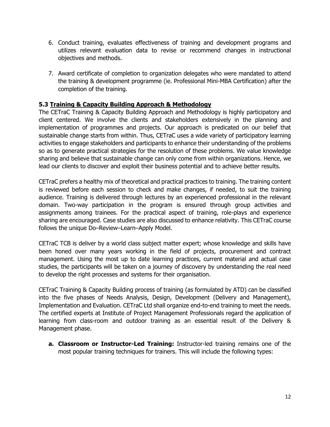- 6. Conduct training, evaluates effectiveness of training and development programs and utilizes relevant evaluation data to revise or recommend changes in instructional objectives and methods.
- 7. Award certificate of completion to organization delegates who were mandated to attend the training & development programme (ie. Professional Mini-MBA Certification) after the completion of the training.

#### **5.3 Training & Capacity Building Approach & Methodology**

The CETraC Training & Capacity Building Approach and Methodology is highly participatory and client centered. We involve the clients and stakeholders extensively in the planning and implementation of programmes and projects. Our approach is predicated on our belief that sustainable change starts from within. Thus, CETraC uses a wide variety of participatory learning activities to engage stakeholders and participants to enhance their understanding of the problems so as to generate practical strategies for the resolution of these problems. We value knowledge sharing and believe that sustainable change can only come from within organizations. Hence, we lead our clients to discover and exploit their business potential and to achieve better results.

CETraC prefers a healthy mix of theoretical and practical practices to training. The training content is reviewed before each session to check and make changes, if needed, to suit the training audience. Training is delivered through lectures by an experienced professional in the relevant domain. Two-way participation in the program is ensured through group activities and assignments among trainees. For the practical aspect of training, role-plays and experience sharing are encouraged. Case studies are also discussed to enhance relativity. This CETraC course follows the unique Do–Review–Learn–Apply Model.

CETraC TCB is deliver by a world class subject matter expert; whose knowledge and skills have been honed over many years working in the field of projects, procurement and contract management. Using the most up to date learning practices, current material and actual case studies, the participants will be taken on a journey of discovery by understanding the real need to develop the right processes and systems for their organisation.

CETraC Training & Capacity Building process of training (as formulated by ATD) can be classified into the five phases of Needs Analysis, Design, Development (Delivery and Management), Implementation and Evaluation. CETraC Ltd shall organize end-to-end training to meet the needs. The certified experts at Institute of Project Management Professionals regard the application of learning from class-room and outdoor training as an essential result of the Delivery & Management phase.

**a. Classroom or Instructor-Led Training:** Instructor-led training remains one of the most popular training techniques for trainers. This will include the following types: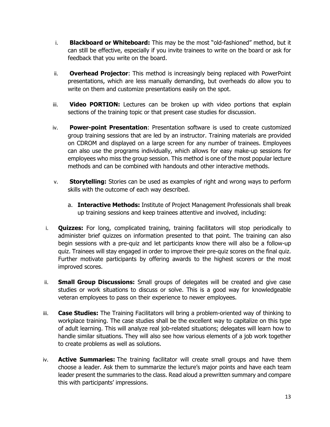- i. **Blackboard or Whiteboard:** This may be the most "old-fashioned" method, but it can still be effective, especially if you invite trainees to write on the board or ask for feedback that you write on the board.
- ii. **Overhead Projector**: This method is increasingly being replaced with PowerPoint presentations, which are less manually demanding, but overheads do allow you to write on them and customize presentations easily on the spot.
- iii. **Video PORTION:** Lectures can be broken up with video portions that explain sections of the training topic or that present case studies for discussion.
- iv. **Power-point Presentation**: Presentation software is used to create customized group training sessions that are led by an instructor. Training materials are provided on CDROM and displayed on a large screen for any number of trainees. Employees can also use the programs individually, which allows for easy make-up sessions for employees who miss the group session. This method is one of the most popular lecture methods and can be combined with handouts and other interactive methods.
- v. **Storytelling:** Stories can be used as examples of right and wrong ways to perform skills with the outcome of each way described.
	- a. **Interactive Methods:** Institute of Project Management Professionals shall break up training sessions and keep trainees attentive and involved, including:
- i. **Quizzes:** For long, complicated training, training facilitators will stop periodically to administer brief quizzes on information presented to that point. The training can also begin sessions with a pre-quiz and let participants know there will also be a follow-up quiz. Trainees will stay engaged in order to improve their pre-quiz scores on the final quiz. Further motivate participants by offering awards to the highest scorers or the most improved scores.
- ii. **Small Group Discussions:** Small groups of delegates will be created and give case studies or work situations to discuss or solve. This is a good way for knowledgeable veteran employees to pass on their experience to newer employees.
- iii. **Case Studies:** The Training Facilitators will bring a problem-oriented way of thinking to workplace training. The case studies shall be the excellent way to capitalize on this type of adult learning. This will analyze real job-related situations; delegates will learn how to handle similar situations. They will also see how various elements of a job work together to create problems as well as solutions.
- iv. **Active Summaries:** The training facilitator will create small groups and have them choose a leader. Ask them to summarize the lecture's major points and have each team leader present the summaries to the class. Read aloud a prewritten summary and compare this with participants' impressions.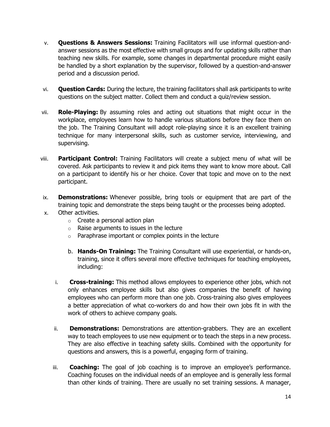- v. **Questions & Answers Sessions:** Training Facilitators will use informal question-andanswer sessions as the most effective with small groups and for updating skills rather than teaching new skills. For example, some changes in departmental procedure might easily be handled by a short explanation by the supervisor, followed by a question-and-answer period and a discussion period.
- vi. **Question Cards:** During the lecture, the training facilitators shall ask participants to write questions on the subject matter. Collect them and conduct a quiz/review session.
- vii. **Role-Playing:** By assuming roles and acting out situations that might occur in the workplace, employees learn how to handle various situations before they face them on the job. The Training Consultant will adopt role-playing since it is an excellent training technique for many interpersonal skills, such as customer service, interviewing, and supervising.
- viii. **Participant Control:** Training Facilitators will create a subject menu of what will be covered. Ask participants to review it and pick items they want to know more about. Call on a participant to identify his or her choice. Cover that topic and move on to the next participant.
- ix. **Demonstrations:** Whenever possible, bring tools or equipment that are part of the training topic and demonstrate the steps being taught or the processes being adopted.
- x. Other activities.
	- o Create a personal action plan
	- $\circ$  Raise arguments to issues in the lecture
	- $\circ$  Paraphrase important or complex points in the lecture
	- b. **Hands-On Training:** The Training Consultant will use experiential, or hands-on, training, since it offers several more effective techniques for teaching employees, including:
	- i. **Cross-training:** This method allows employees to experience other jobs, which not only enhances employee skills but also gives companies the benefit of having employees who can perform more than one job. Cross-training also gives employees a better appreciation of what co-workers do and how their own jobs fit in with the work of others to achieve company goals.
	- ii. **Demonstrations:** Demonstrations are attention-grabbers. They are an excellent way to teach employees to use new equipment or to teach the steps in a new process. They are also effective in teaching safety skills. Combined with the opportunity for questions and answers, this is a powerful, engaging form of training.
	- iii. **Coaching:** The goal of job coaching is to improve an employee's performance. Coaching focuses on the individual needs of an employee and is generally less formal than other kinds of training. There are usually no set training sessions. A manager,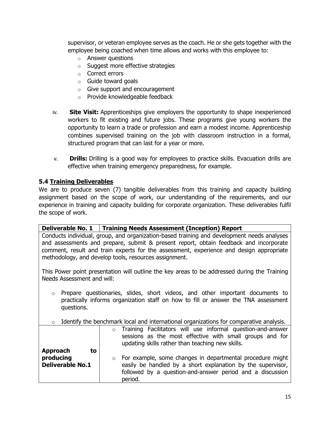supervisor, or veteran employee serves as the coach. He or she gets together with the employee being coached when time allows and works with this employee to:

- o Answer questions
- o Suggest more effective strategies
- o Correct errors
- o Guide toward goals
- o Give support and encouragement
- o Provide knowledgeable feedback
- iv. **Site Visit:** Apprenticeships give employers the opportunity to shape inexperienced workers to fit existing and future jobs. These programs give young workers the opportunity to learn a trade or profession and earn a modest income. Apprenticeship combines supervised training on the job with classroom instruction in a formal, structured program that can last for a year or more.
- v. **Drills:** Drilling is a good way for employees to practice skills. Evacuation drills are effective when training emergency preparedness, for example.

#### **5.4 Training Deliverables**

We are to produce seven (7) tangible deliverables from this training and capacity building assignment based on the scope of work, our understanding of the requirements, and our experience in training and capacity building for corporate organization. These deliverables fulfil the scope of work.

|                                                                                                                                                                                                                                                                                                                                         | Deliverable No. 1   Training Needs Assessment (Inception) Report                                                                                                                                            |  |  |  |  |  |  |  |  |  |
|-----------------------------------------------------------------------------------------------------------------------------------------------------------------------------------------------------------------------------------------------------------------------------------------------------------------------------------------|-------------------------------------------------------------------------------------------------------------------------------------------------------------------------------------------------------------|--|--|--|--|--|--|--|--|--|
| Conducts individual, group, and organization-based training and development needs analyses<br>and assessments and prepare, submit & present report, obtain feedback and incorporate<br>comment, result and train experts for the assessment, experience and design appropriate<br>methodology, and develop tools, resources assignment. |                                                                                                                                                                                                             |  |  |  |  |  |  |  |  |  |
| This Power point presentation will outline the key areas to be addressed during the Training<br>Needs Assessment and will:                                                                                                                                                                                                              |                                                                                                                                                                                                             |  |  |  |  |  |  |  |  |  |
| Prepare questionaries, slides, short videos, and other important documents to<br>$\circ$<br>practically informs organization staff on how to fill or answer the TNA assessment<br>questions.                                                                                                                                            |                                                                                                                                                                                                             |  |  |  |  |  |  |  |  |  |
| $\circ$                                                                                                                                                                                                                                                                                                                                 | Identify the benchmark local and international organizations for comparative analysis.                                                                                                                      |  |  |  |  |  |  |  |  |  |
| <b>Approach</b><br>to                                                                                                                                                                                                                                                                                                                   | Training Facilitators will use informal question-and-answer<br>$\circ$<br>sessions as the most effective with small groups and for<br>updating skills rather than teaching new skills.                      |  |  |  |  |  |  |  |  |  |
| producing<br><b>Deliverable No.1</b>                                                                                                                                                                                                                                                                                                    | For example, some changes in departmental procedure might<br>$\circ$<br>easily be handled by a short explanation by the supervisor,<br>followed by a question-and-answer period and a discussion<br>period. |  |  |  |  |  |  |  |  |  |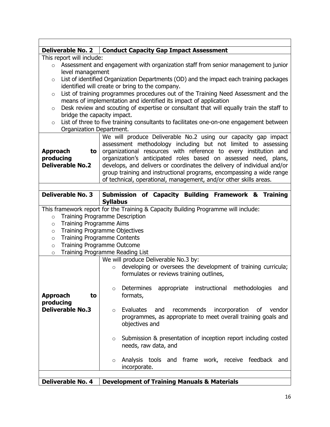| <b>Deliverable No. 2</b>                                                                           | <b>Conduct Capacity Gap Impact Assessment</b>                                            |  |  |  |  |  |  |  |  |  |  |  |
|----------------------------------------------------------------------------------------------------|------------------------------------------------------------------------------------------|--|--|--|--|--|--|--|--|--|--|--|
| This report will include:                                                                          |                                                                                          |  |  |  |  |  |  |  |  |  |  |  |
| $\circ$                                                                                            | Assessment and engagement with organization staff from senior management to junior       |  |  |  |  |  |  |  |  |  |  |  |
| level management                                                                                   |                                                                                          |  |  |  |  |  |  |  |  |  |  |  |
| $\circ$                                                                                            | List of identified Organization Departments (OD) and the impact each training packages   |  |  |  |  |  |  |  |  |  |  |  |
|                                                                                                    | identified will create or bring to the company.                                          |  |  |  |  |  |  |  |  |  |  |  |
| $\circ$                                                                                            | List of training programmes procedures out of the Training Need Assessment and the       |  |  |  |  |  |  |  |  |  |  |  |
|                                                                                                    | means of implementation and identified its impact of application                         |  |  |  |  |  |  |  |  |  |  |  |
| $\circ$                                                                                            | Desk review and scouting of expertise or consultant that will equally train the staff to |  |  |  |  |  |  |  |  |  |  |  |
| bridge the capacity impact.                                                                        |                                                                                          |  |  |  |  |  |  |  |  |  |  |  |
| List of three to five training consultants to facilitates one-on-one engagement between<br>$\circ$ |                                                                                          |  |  |  |  |  |  |  |  |  |  |  |
| Organization Department.                                                                           |                                                                                          |  |  |  |  |  |  |  |  |  |  |  |
|                                                                                                    |                                                                                          |  |  |  |  |  |  |  |  |  |  |  |
|                                                                                                    | We will produce Deliverable No.2 using our capacity gap impact                           |  |  |  |  |  |  |  |  |  |  |  |
|                                                                                                    | assessment methodology including but not limited to assessing                            |  |  |  |  |  |  |  |  |  |  |  |
| <b>Approach</b><br>to                                                                              | organizational resources with reference to every institution and                         |  |  |  |  |  |  |  |  |  |  |  |
| producing                                                                                          | organization's anticipated roles based on assessed need, plans,                          |  |  |  |  |  |  |  |  |  |  |  |
| <b>Deliverable No.2</b>                                                                            | develops, and delivers or coordinates the delivery of individual and/or                  |  |  |  |  |  |  |  |  |  |  |  |
|                                                                                                    | group training and instructional programs, encompassing a wide range                     |  |  |  |  |  |  |  |  |  |  |  |
|                                                                                                    | of technical, operational, management, and/or other skills areas.                        |  |  |  |  |  |  |  |  |  |  |  |
|                                                                                                    |                                                                                          |  |  |  |  |  |  |  |  |  |  |  |
| <b>Deliverable No. 3</b>                                                                           | Submission of Capacity Building Framework & Training                                     |  |  |  |  |  |  |  |  |  |  |  |
|                                                                                                    | <b>Syllabus</b>                                                                          |  |  |  |  |  |  |  |  |  |  |  |
|                                                                                                    | This framework report for the Training & Capacity Building Programme will include:       |  |  |  |  |  |  |  |  |  |  |  |
| $\circ$                                                                                            | <b>Training Programme Description</b>                                                    |  |  |  |  |  |  |  |  |  |  |  |
| <b>Training Programme Aims</b><br>$\circ$                                                          |                                                                                          |  |  |  |  |  |  |  |  |  |  |  |
| $\circ$                                                                                            | <b>Training Programme Objectives</b>                                                     |  |  |  |  |  |  |  |  |  |  |  |
| $\circ$                                                                                            | <b>Training Programme Contents</b>                                                       |  |  |  |  |  |  |  |  |  |  |  |
|                                                                                                    | <b>Training Programme Outcome</b>                                                        |  |  |  |  |  |  |  |  |  |  |  |
| $\circ$                                                                                            |                                                                                          |  |  |  |  |  |  |  |  |  |  |  |
| $\circ$                                                                                            | Training Programme Reading List                                                          |  |  |  |  |  |  |  |  |  |  |  |
|                                                                                                    | We will produce Deliverable No.3 by:                                                     |  |  |  |  |  |  |  |  |  |  |  |
|                                                                                                    | developing or oversees the development of training curricula;<br>$\circ$                 |  |  |  |  |  |  |  |  |  |  |  |
|                                                                                                    | formulates or reviews training outlines,                                                 |  |  |  |  |  |  |  |  |  |  |  |
|                                                                                                    |                                                                                          |  |  |  |  |  |  |  |  |  |  |  |
|                                                                                                    | instructional<br>Determines<br>methodologies<br>appropriate<br>and<br>$\circ$            |  |  |  |  |  |  |  |  |  |  |  |
| <b>Approach</b><br>to                                                                              | formats,                                                                                 |  |  |  |  |  |  |  |  |  |  |  |
| producing                                                                                          |                                                                                          |  |  |  |  |  |  |  |  |  |  |  |
| <b>Deliverable No.3</b>                                                                            | Evaluates<br>recommends<br>incorporation<br>and<br>οf<br>vendor<br>$\circ$               |  |  |  |  |  |  |  |  |  |  |  |
|                                                                                                    | programmes, as appropriate to meet overall training goals and                            |  |  |  |  |  |  |  |  |  |  |  |
|                                                                                                    | objectives and                                                                           |  |  |  |  |  |  |  |  |  |  |  |
|                                                                                                    |                                                                                          |  |  |  |  |  |  |  |  |  |  |  |
|                                                                                                    | Submission & presentation of inception report including costed<br>$\circ$                |  |  |  |  |  |  |  |  |  |  |  |
|                                                                                                    | needs, raw data, and                                                                     |  |  |  |  |  |  |  |  |  |  |  |
|                                                                                                    |                                                                                          |  |  |  |  |  |  |  |  |  |  |  |
|                                                                                                    | Analysis tools and frame work, receive feedback<br>and<br>$\circ$                        |  |  |  |  |  |  |  |  |  |  |  |
|                                                                                                    | incorporate.                                                                             |  |  |  |  |  |  |  |  |  |  |  |
|                                                                                                    |                                                                                          |  |  |  |  |  |  |  |  |  |  |  |
| <b>Deliverable No. 4</b>                                                                           | <b>Development of Training Manuals &amp; Materials</b>                                   |  |  |  |  |  |  |  |  |  |  |  |
|                                                                                                    |                                                                                          |  |  |  |  |  |  |  |  |  |  |  |

 $\Gamma$ 

٦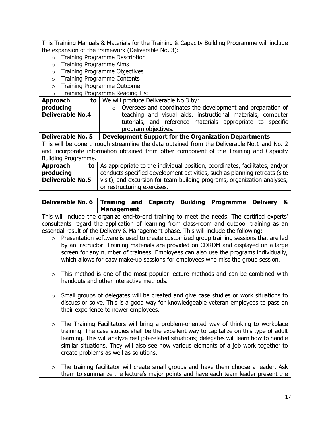This Training Manuals & Materials for the Training & Capacity Building Programme will include the expansion of the framework (Deliverable No. 3): o Training Programme Description o Training Programme Aims o Training Programme Objectives o Training Programme Contents o Training Programme Outcome o Training Programme Reading List **Approach to producing Deliverable No.4** We will produce Deliverable No.3 by: o Oversees and coordinates the development and preparation of teaching and visual aids, instructional materials, computer tutorials, and reference materials appropriate to specific program objectives. **Deliverable No. 5 Development Support for the Organization Departments** This will be done through streamline the data obtained from the Deliverable No.1 and No. 2 and incorporate information obtained from other component of the Training and Capacity Building Programme. **Approach to producing Deliverable No.5 to** | As appropriate to the individual position, coordinates, facilitates, and/or conducts specified development activities, such as planning retreats (site visit), and excursion for team building programs, organization analyses, or restructuring exercises.

| Deliverable No. 6   Training and Capacity Building Programme Delivery & |                   |  |  |  |
|-------------------------------------------------------------------------|-------------------|--|--|--|
|                                                                         | <b>Management</b> |  |  |  |

This will include the organize end-to-end training to meet the needs. The certified experts' consultants regard the application of learning from class-room and outdoor training as an essential result of the Delivery & Management phase. This will include the following:

- o Presentation software is used to create customized group training sessions that are led by an instructor. Training materials are provided on CDROM and displayed on a large screen for any number of trainees. Employees can also use the programs individually, which allows for easy make-up sessions for employees who miss the group session.
- $\circ$  This method is one of the most popular lecture methods and can be combined with handouts and other interactive methods.
- $\circ$  Small groups of delegates will be created and give case studies or work situations to discuss or solve. This is a good way for knowledgeable veteran employees to pass on their experience to newer employees.
- $\circ$  The Training Facilitators will bring a problem-oriented way of thinking to workplace training. The case studies shall be the excellent way to capitalize on this type of adult learning. This will analyze real job-related situations; delegates will learn how to handle similar situations. They will also see how various elements of a job work together to create problems as well as solutions.
- $\circ$  The training facilitator will create small groups and have them choose a leader. Ask them to summarize the lecture's major points and have each team leader present the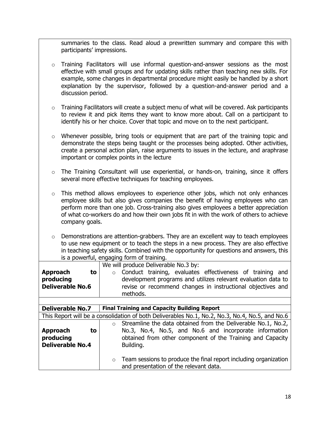summaries to the class. Read aloud a prewritten summary and compare this with participants' impressions.

- $\circ$  Training Facilitators will use informal question-and-answer sessions as the most effective with small groups and for updating skills rather than teaching new skills. For example, some changes in departmental procedure might easily be handled by a short explanation by the supervisor, followed by a question-and-answer period and a discussion period.
- o Training Facilitators will create a subject menu of what will be covered. Ask participants to review it and pick items they want to know more about. Call on a participant to identify his or her choice. Cover that topic and move on to the next participant.
- $\circ$  Whenever possible, bring tools or equipment that are part of the training topic and demonstrate the steps being taught or the processes being adopted. Other activities, create a personal action plan, raise arguments to issues in the lecture, and araphrase important or complex points in the lecture
- o The Training Consultant will use experiential, or hands-on, training, since it offers several more effective techniques for teaching employees.
- $\circ$  This method allows employees to experience other jobs, which not only enhances employee skills but also gives companies the benefit of having employees who can perform more than one job. Cross-training also gives employees a better appreciation of what co-workers do and how their own jobs fit in with the work of others to achieve company goals.
- $\circ$  Demonstrations are attention-grabbers. They are an excellent way to teach employees to use new equipment or to teach the steps in a new process. They are also effective in teaching safety skills. Combined with the opportunity for questions and answers, this is a powerful, engaging form of training.

| <b>Approach</b><br>to<br>producing<br><b>Deliverable No.6</b> | We will produce Deliverable No.3 by:<br>Conduct training, evaluates effectiveness of training and<br>$\circ$<br>development programs and utilizes relevant evaluation data to<br>revise or recommend changes in instructional objectives and |  |  |  |  |  |  |  |  |  |  |  |
|---------------------------------------------------------------|----------------------------------------------------------------------------------------------------------------------------------------------------------------------------------------------------------------------------------------------|--|--|--|--|--|--|--|--|--|--|--|
|                                                               | methods.                                                                                                                                                                                                                                     |  |  |  |  |  |  |  |  |  |  |  |
|                                                               |                                                                                                                                                                                                                                              |  |  |  |  |  |  |  |  |  |  |  |
| <b>Deliverable No.7</b>                                       | <b>Final Training and Capacity Building Report</b>                                                                                                                                                                                           |  |  |  |  |  |  |  |  |  |  |  |
|                                                               | This Report will be a consolidation of both Deliverables No.1, No.2, No.3, No.4, No.5, and No.6                                                                                                                                              |  |  |  |  |  |  |  |  |  |  |  |
| <b>Approach</b><br>to<br>producing<br><b>Deliverable No.4</b> | Streamline the data obtained from the Deliverable No.1, No.2,<br>$\bigcap$<br>No.3, No.4, No.5, and No.6 and incorporate information<br>obtained from other component of the Training and Capacity<br>Building.                              |  |  |  |  |  |  |  |  |  |  |  |
|                                                               | Team sessions to produce the final report including organization<br>$\circ$<br>and presentation of the relevant data.                                                                                                                        |  |  |  |  |  |  |  |  |  |  |  |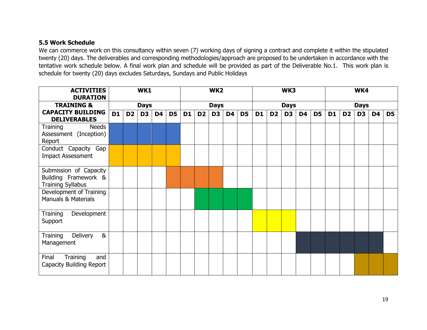### **5.5 Work Schedule**

We can commerce work on this consultancy within seven (7) working days of signing a contract and complete it within the stipulated twenty (20) days. The deliverables and corresponding methodologies/approach are proposed to be undertaken in accordance with the tentative work schedule below. A final work plan and schedule will be provided as part of the Deliverable No.1. This work plan is schedule for twenty (20) days excludes Saturdays, Sundays and Public Holidays

| <b>ACTIVITIES</b><br><b>DURATION</b>                                       |           |                | WK1            |           |                | WK <sub>2</sub> |                |                | WK3            |                |           | WK4            |                |                |                |                |                |                |                |                |
|----------------------------------------------------------------------------|-----------|----------------|----------------|-----------|----------------|-----------------|----------------|----------------|----------------|----------------|-----------|----------------|----------------|----------------|----------------|----------------|----------------|----------------|----------------|----------------|
| <b>TRAINING &amp;</b>                                                      |           |                | <b>Days</b>    |           |                |                 |                | <b>Days</b>    |                |                |           |                | <b>Days</b>    |                |                | <b>Days</b>    |                |                |                |                |
| <b>CAPACITY BUILDING</b><br><b>DELIVERABLES</b>                            | <b>D1</b> | D <sub>2</sub> | D <sub>3</sub> | <b>D4</b> | D <sub>5</sub> | D <sub>1</sub>  | D <sub>2</sub> | D <sub>3</sub> | D <sub>4</sub> | D <sub>5</sub> | <b>D1</b> | D <sub>2</sub> | D <sub>3</sub> | D <sub>4</sub> | D <sub>5</sub> | D <sub>1</sub> | D <sub>2</sub> | D <sub>3</sub> | D <sub>4</sub> | D <sub>5</sub> |
| <b>Needs</b><br>Training<br>Assessment (Inception)<br>Report               |           |                |                |           |                |                 |                |                |                |                |           |                |                |                |                |                |                |                |                |                |
| Conduct Capacity Gap<br><b>Impact Assessment</b>                           |           |                |                |           |                |                 |                |                |                |                |           |                |                |                |                |                |                |                |                |                |
| Submission of Capacity<br>Building Framework &<br><b>Training Syllabus</b> |           |                |                |           |                |                 |                |                |                |                |           |                |                |                |                |                |                |                |                |                |
| Development of Training<br><b>Manuals &amp; Materials</b>                  |           |                |                |           |                |                 |                |                |                |                |           |                |                |                |                |                |                |                |                |                |
| Development<br>Training<br>Support                                         |           |                |                |           |                |                 |                |                |                |                |           |                |                |                |                |                |                |                |                |                |
| Delivery<br>8 <sub>k</sub><br>Training<br>Management                       |           |                |                |           |                |                 |                |                |                |                |           |                |                |                |                |                |                |                |                |                |
| Final<br>Training<br>and<br>Capacity Building Report                       |           |                |                |           |                |                 |                |                |                |                |           |                |                |                |                |                |                |                |                |                |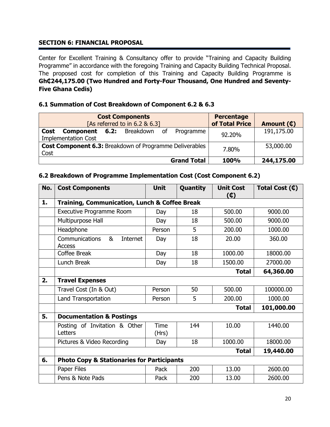### **SECTION 6: FINANCIAL PROPOSAL**

Center for Excellent Training & Consultancy offer to provide "Training and Capacity Building Programme" in accordance with the foregoing Training and Capacity Building Technical Proposal. The proposed cost for completion of this Training and Capacity Building Programme is **Gh₵244,175.00 (Two Hundred and Forty-Four Thousand, One Hundred and Seventy-Five Ghana Cedis)**

#### **6.1 Summation of Cost Breakdown of Component 6.2 & 6.3**

| <b>Cost Components</b><br>[As referred to in $6.2 \& 6.3$ ]                                  | <b>Percentage</b><br>of Total Price | Amount (¢) |
|----------------------------------------------------------------------------------------------|-------------------------------------|------------|
| <b>Component 6.2:</b> Breakdown of<br><b>Cost</b><br>Programme<br><b>Implementation Cost</b> | 92.20%                              | 191,175.00 |
| <b>Cost Component 6.3: Breakdown of Programme Deliverables</b><br>Cost                       | 7.80%                               | 53,000.00  |
| <b>Grand Total</b>                                                                           | 100%                                | 244,175.00 |

| No. | <b>Cost Components</b>                                | <b>Unit</b>   | Quantity   | <b>Unit Cost</b><br>(¢) | Total Cost (¢) |  |  |
|-----|-------------------------------------------------------|---------------|------------|-------------------------|----------------|--|--|
| 1.  | Training, Communication, Lunch & Coffee Break         |               |            |                         |                |  |  |
|     | Executive Programme Room                              | Day           | 18         | 500.00                  | 9000.00        |  |  |
|     | Multipurpose Hall                                     | Day           | 18         | 500.00                  | 9000.00        |  |  |
|     | Headphone                                             | Person        | 5          | 200.00                  | 1000.00        |  |  |
|     | <b>Communications</b><br>&<br>Internet<br>Access      | Day           | 18         | 20.00                   | 360.00         |  |  |
|     | Coffee Break                                          | Day           | 18         | 1000.00                 | 18000.00       |  |  |
|     | Lunch Break                                           | Day           | 18         | 1500.00                 | 27000.00       |  |  |
|     |                                                       | 64,360.00     |            |                         |                |  |  |
| 2.  | <b>Travel Expenses</b>                                |               |            |                         |                |  |  |
|     | Travel Cost (In & Out)                                | Person        | 50         | 500.00                  | 100000.00      |  |  |
|     | Land Transportation                                   | Person        | 5          | 200.00                  | 1000.00        |  |  |
|     |                                                       | <b>Total</b>  | 101,000.00 |                         |                |  |  |
| 5.  | <b>Documentation &amp; Postings</b>                   |               |            |                         |                |  |  |
|     | Posting of Invitation & Other<br>Letters              | Time<br>(Hrs) | 144        | 10.00                   | 1440.00        |  |  |
|     | Pictures & Video Recording                            | Day           | 18         | 1000.00                 | 18000.00       |  |  |
|     |                                                       | 19,440.00     |            |                         |                |  |  |
| 6.  | <b>Photo Copy &amp; Stationaries for Participants</b> |               |            |                         |                |  |  |
|     | Paper Files                                           | Pack          | 200        | 13.00                   | 2600.00        |  |  |
|     | Pens & Note Pads                                      | Pack          | 200        | 13.00                   | 2600.00        |  |  |

#### **6.2 Breakdown of Programme Implementation Cost (Cost Component 6.2)**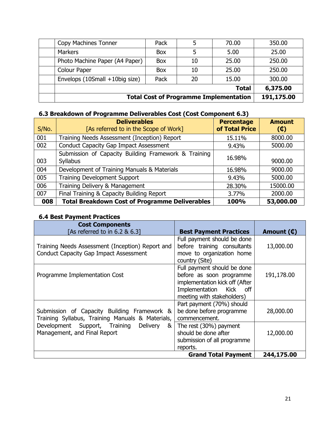|                                | <b>Total Cost of Programme Implementation</b> |    |              |          |  |  |  |  |  |  |
|--------------------------------|-----------------------------------------------|----|--------------|----------|--|--|--|--|--|--|
|                                |                                               |    | <b>Total</b> | 6,375.00 |  |  |  |  |  |  |
| Envelops (10Small +10big size) | Pack                                          | 20 | 15.00        | 300.00   |  |  |  |  |  |  |
| Colour Paper                   | <b>Box</b>                                    | 10 | 25.00        | 250.00   |  |  |  |  |  |  |
| Photo Machine Paper (A4 Paper) | <b>Box</b>                                    | 10 | 25.00        | 250.00   |  |  |  |  |  |  |
| <b>Markers</b>                 | <b>Box</b>                                    |    | 5.00         | 25.00    |  |  |  |  |  |  |
| Copy Machines Tonner           | Pack                                          |    | 70.00        | 350.00   |  |  |  |  |  |  |

# **6.3 Breakdown of Programme Deliverables Cost (Cost Component 6.3)**

| S/No. | <b>Deliverables</b><br>[As referred to in the Scope of Work]            | <b>Percentage</b><br>of Total Price | <b>Amount</b><br>$(\mathbb{C})$ |
|-------|-------------------------------------------------------------------------|-------------------------------------|---------------------------------|
| 001   | Training Needs Assessment (Inception) Report                            | 15.11%                              | 8000.00                         |
| 002   | <b>Conduct Capacity Gap Impact Assessment</b>                           | 9.43%                               | 5000.00                         |
| 003   | Submission of Capacity Building Framework & Training<br><b>Syllabus</b> | 16.98%                              | 9000.00                         |
| 004   | Development of Training Manuals & Materials                             | 16.98%                              | 9000.00                         |
| 005   | <b>Training Development Support</b>                                     | 9.43%                               | 5000.00                         |
| 006   | Training Delivery & Management                                          | 28.30%                              | 15000.00                        |
| 007   | Final Training & Capacity Building Report                               | 3.77%                               | 2000.00                         |
| 008   | <b>Total Breakdown Cost of Programme Deliverables</b>                   | 100%                                | 53,000.00                       |

## **6.4 Best Payment Practices**

| <b>Cost Components</b><br>[As referred to in 6.2 & 6.3] | <b>Best Payment Practices</b>  | Amount $(\mathbf{\mathbb{C}})$ |
|---------------------------------------------------------|--------------------------------|--------------------------------|
|                                                         | Full payment should be done    |                                |
| Training Needs Assessment (Inception) Report and        | before training consultants    | 13,000.00                      |
| <b>Conduct Capacity Gap Impact Assessment</b>           | move to organization home      |                                |
|                                                         | country (Site)                 |                                |
|                                                         | Full payment should be done    |                                |
| Programme Implementation Cost                           | before as soon programme       | 191,178.00                     |
|                                                         | implementation kick off (After |                                |
|                                                         | Implementation Kick off        |                                |
|                                                         | meeting with stakeholders)     |                                |
|                                                         | Part payment (70%) should      |                                |
| Submission of Capacity Building Framework &             | be done before programme       | 28,000.00                      |
| Training Syllabus, Training Manuals & Materials,        | commencement.                  |                                |
| Development Support, Training<br>Delivery<br>&          | The rest (30%) payment         |                                |
| Management, and Final Report                            | should be done after           | 12,000.00                      |
|                                                         | submission of all programme    |                                |
|                                                         | reports.                       |                                |
|                                                         | <b>Grand Total Payment</b>     | 244,175.00                     |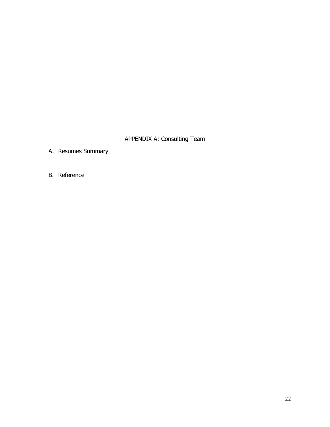## APPENDIX A: Consulting Team

- A. Resumes Summary
- B. Reference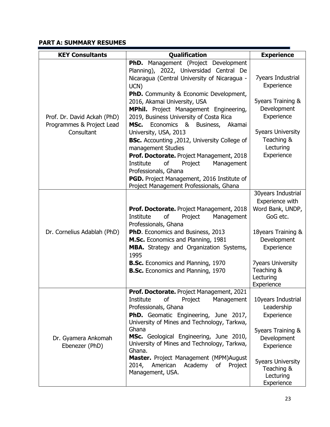## **PART A: SUMMARY RESUMES**

| <b>KEY Consultants</b>                                                 | Qualification                                                                                                                                                                                         | <b>Experience</b>                                                     |
|------------------------------------------------------------------------|-------------------------------------------------------------------------------------------------------------------------------------------------------------------------------------------------------|-----------------------------------------------------------------------|
|                                                                        | PhD. Management (Project Development<br>Planning), 2022, Universidad Central De<br>Nicaragua (Central University of Nicaragua -<br>UCN)<br><b>PhD.</b> Community & Economic Development,              | <b>7years Industrial</b><br>Experience                                |
| Prof. Dr. David Ackah (PhD)<br>Programmes & Project Lead<br>Consultant | 2016, Akamai University, USA<br>MPhil. Project Management Engineering,<br>2019, Business University of Costa Rica<br>Economics & Business,<br>MSc.<br>Akamai                                          | 5years Training &<br>Development<br>Experience                        |
|                                                                        | University, USA, 2013<br><b>BSc.</b> Accounting , 2012, University College of<br>management Studies<br>Prof. Doctorate. Project Management, 2018                                                      | <b>5years University</b><br>Teaching &<br>Lecturing<br>Experience     |
|                                                                        | of<br>Institute<br>Project<br>Management<br>Professionals, Ghana<br>PGD. Project Management, 2016 Institute of<br>Project Management Professionals, Ghana                                             |                                                                       |
|                                                                        | Prof. Doctorate. Project Management, 2018<br>of<br>Management<br>Institute<br>Project<br>Professionals, Ghana                                                                                         | 30years Industrial<br>Experience with<br>Word Bank, UNDP,<br>GoG etc. |
| Dr. Cornelius Adablah (PhD)                                            | PhD. Economics and Business, 2013<br>M.Sc. Economics and Planning, 1981<br>MBA. Strategy and Organization Systems,<br>1995                                                                            | 18years Training &<br>Development<br>Experience                       |
|                                                                        | <b>B.Sc.</b> Economics and Planning, 1970<br><b>B.Sc.</b> Economics and Planning, 1970                                                                                                                | <b>7years University</b><br>Teaching &<br>Lecturing<br>Experience     |
|                                                                        | Prof. Doctorate. Project Management, 2021<br>Institute<br>οf<br>Project<br>Management<br>Professionals, Ghana<br>PhD. Geomatic Engineering, June 2017,<br>University of Mines and Technology, Tarkwa, | 10years Industrial<br>Leadership<br>Experience                        |
| Dr. Gyamera Ankomah<br>Ebenezer (PhD)                                  | Ghana<br>MSc. Geological Engineering, June 2010,<br>University of Mines and Technology, Tarkwa,<br>Ghana.                                                                                             | <b>5years Training &amp;</b><br>Development<br>Experience             |
|                                                                        | Master. Project Management (MPM)August<br>American<br>2014,<br>Academy<br>of<br>Project<br>Management, USA.                                                                                           | <b>5years University</b><br>Teaching &<br>Lecturing<br>Experience     |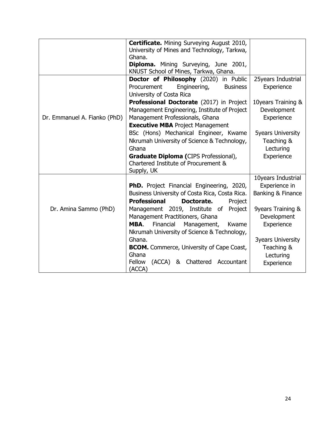|                              | <b>Certificate.</b> Mining Surveying August 2010,     |                          |
|------------------------------|-------------------------------------------------------|--------------------------|
|                              | University of Mines and Technology, Tarkwa,<br>Ghana. |                          |
|                              | Diploma. Mining Surveying, June 2001,                 |                          |
|                              | KNUST School of Mines, Tarkwa, Ghana.                 |                          |
|                              | Doctor of Philosophy (2020) in Public                 | 25years Industrial       |
|                              | Engineering,<br>Procurement<br><b>Business</b>        | Experience               |
|                              | University of Costa Rica                              |                          |
|                              | Professional Doctorate (2017) in Project              | 10years Training &       |
|                              | Management Engineering, Institute of Project          | Development              |
| Dr. Emmanuel A. Fianko (PhD) | Management Professionals, Ghana                       | Experience               |
|                              | <b>Executive MBA Project Management</b>               |                          |
|                              | BSc (Hons) Mechanical Engineer, Kwame                 | <b>5years University</b> |
|                              | Nkrumah University of Science & Technology,           | Teaching &               |
|                              | Ghana                                                 | Lecturing<br>Experience  |
|                              | <b>Graduate Diploma (CIPS Professional),</b>          |                          |
|                              | Chartered Institute of Procurement &                  |                          |
|                              | Supply, UK                                            | 10years Industrial       |
|                              | <b>PhD.</b> Project Financial Engineering, 2020,      | Experience in            |
|                              | Business University of Costa Rica, Costa Rica.        | Banking & Finance        |
|                              | <b>Professional</b><br>Doctorate.<br>Project          |                          |
| Dr. Amina Sammo (PhD)        | Management 2019, Institute of Project                 | 9years Training &        |
|                              | Management Practitioners, Ghana                       | Development              |
|                              | MBA.<br>Financial<br>Management,<br>Kwame             | Experience               |
|                              | Nkrumah University of Science & Technology,           |                          |
|                              | Ghana.                                                | <b>3years University</b> |
|                              | <b>BCOM.</b> Commerce, University of Cape Coast,      | Teaching &               |
|                              | Ghana                                                 | Lecturing                |
|                              | (ACCA) & Chattered Accountant<br>Fellow               | Experience               |
|                              | (ACCA)                                                |                          |